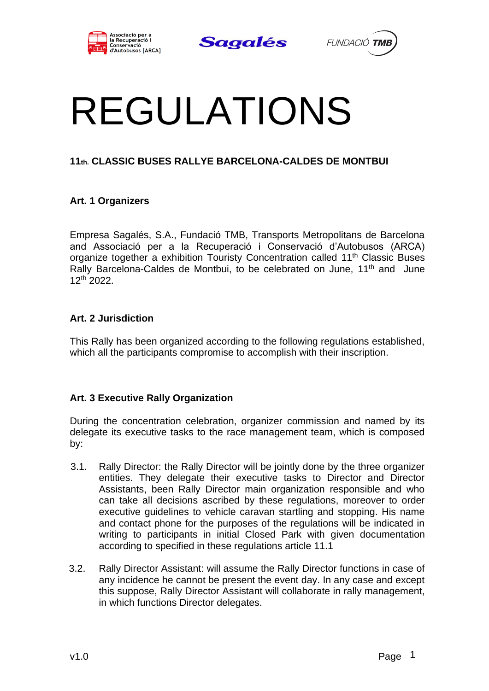





# REGULATIONS

## **11th. CLASSIC BUSES RALLYE BARCELONA-CALDES DE MONTBUI**

## **Art. 1 Organizers**

Empresa Sagalés, S.A., Fundació TMB, Transports Metropolitans de Barcelona and Associació per a la Recuperació i Conservació d'Autobusos (ARCA) organize together a exhibition Touristy Concentration called 11<sup>th</sup> Classic Buses Rally Barcelona-Caldes de Montbui, to be celebrated on June, 11<sup>th</sup> and June 12th 2022.

#### **Art. 2 Jurisdiction**

This Rally has been organized according to the following regulations established, which all the participants compromise to accomplish with their inscription.

## **Art. 3 Executive Rally Organization**

During the concentration celebration, organizer commission and named by its delegate its executive tasks to the race management team, which is composed by:

- 3.1. Rally Director: the Rally Director will be jointly done by the three organizer entities. They delegate their executive tasks to Director and Director Assistants, been Rally Director main organization responsible and who can take all decisions ascribed by these regulations, moreover to order executive guidelines to vehicle caravan startling and stopping. His name and contact phone for the purposes of the regulations will be indicated in writing to participants in initial Closed Park with given documentation according to specified in these regulations article 11.1
- 3.2. Rally Director Assistant: will assume the Rally Director functions in case of any incidence he cannot be present the event day. In any case and except this suppose, Rally Director Assistant will collaborate in rally management, in which functions Director delegates.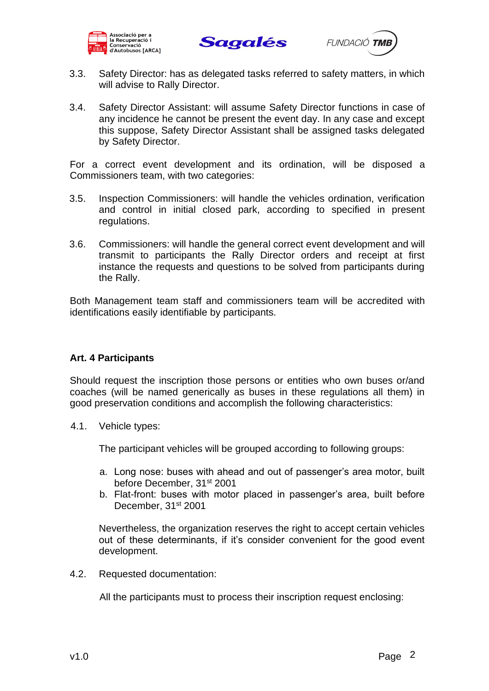





- 3.3. Safety Director: has as delegated tasks referred to safety matters, in which will advise to Rally Director.
- 3.4. Safety Director Assistant: will assume Safety Director functions in case of any incidence he cannot be present the event day. In any case and except this suppose, Safety Director Assistant shall be assigned tasks delegated by Safety Director.

For a correct event development and its ordination, will be disposed a Commissioners team, with two categories:

- 3.5. Inspection Commissioners: will handle the vehicles ordination, verification and control in initial closed park, according to specified in present regulations.
- 3.6. Commissioners: will handle the general correct event development and will transmit to participants the Rally Director orders and receipt at first instance the requests and questions to be solved from participants during the Rally.

Both Management team staff and commissioners team will be accredited with identifications easily identifiable by participants.

#### **Art. 4 Participants**

Should request the inscription those persons or entities who own buses or/and coaches (will be named generically as buses in these regulations all them) in good preservation conditions and accomplish the following characteristics:

4.1. Vehicle types:

The participant vehicles will be grouped according to following groups:

- a. Long nose: buses with ahead and out of passenger's area motor, built before December, 31st 2001
- b. Flat-front: buses with motor placed in passenger's area, built before December, 31<sup>st</sup> 2001

Nevertheless, the organization reserves the right to accept certain vehicles out of these determinants, if it's consider convenient for the good event development.

4.2. Requested documentation:

All the participants must to process their inscription request enclosing: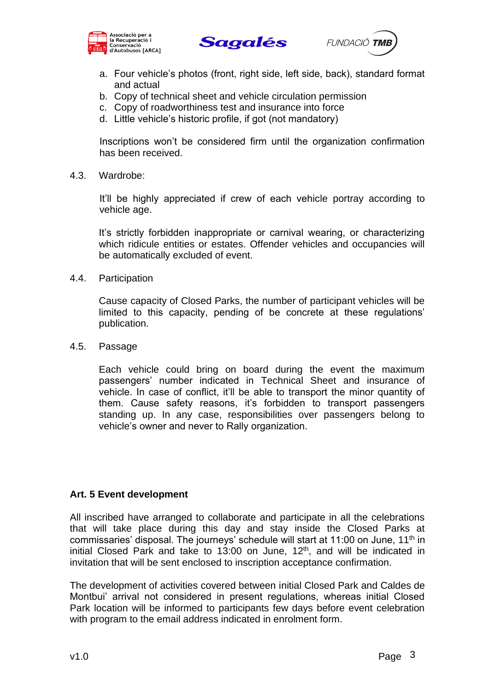





- a. Four vehicle's photos (front, right side, left side, back), standard format and actual
- b. Copy of technical sheet and vehicle circulation permission
- c. Copy of roadworthiness test and insurance into force
- d. Little vehicle's historic profile, if got (not mandatory)

Inscriptions won't be considered firm until the organization confirmation has been received.

4.3. Wardrobe:

It'll be highly appreciated if crew of each vehicle portray according to vehicle age.

It's strictly forbidden inappropriate or carnival wearing, or characterizing which ridicule entities or estates. Offender vehicles and occupancies will be automatically excluded of event.

4.4. Participation

Cause capacity of Closed Parks, the number of participant vehicles will be limited to this capacity, pending of be concrete at these regulations' publication.

4.5. Passage

Each vehicle could bring on board during the event the maximum passengers' number indicated in Technical Sheet and insurance of vehicle. In case of conflict, it'll be able to transport the minor quantity of them. Cause safety reasons, it's forbidden to transport passengers standing up. In any case, responsibilities over passengers belong to vehicle's owner and never to Rally organization.

#### **Art. 5 Event development**

All inscribed have arranged to collaborate and participate in all the celebrations that will take place during this day and stay inside the Closed Parks at commissaries' disposal. The journeys' schedule will start at 11:00 on June, 11<sup>th</sup> in initial Closed Park and take to 13:00 on June,  $12<sup>th</sup>$ , and will be indicated in invitation that will be sent enclosed to inscription acceptance confirmation.

The development of activities covered between initial Closed Park and Caldes de Montbui' arrival not considered in present regulations, whereas initial Closed Park location will be informed to participants few days before event celebration with program to the email address indicated in enrolment form.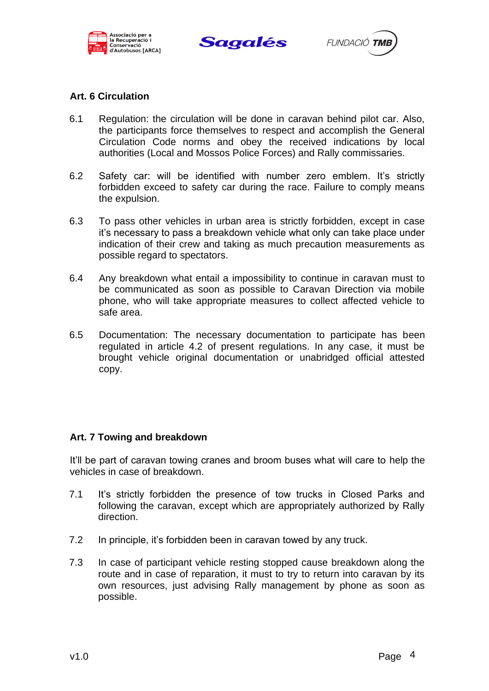





## **Art. 6 Circulation**

- 6.1 Regulation: the circulation will be done in caravan behind pilot car. Also, the participants force themselves to respect and accomplish the General Circulation Code norms and obey the received indications by local authorities (Local and Mossos Police Forces) and Rally commissaries.
- 6.2 Safety car: will be identified with number zero emblem. It's strictly forbidden exceed to safety car during the race. Failure to comply means the expulsion.
- 6.3 To pass other vehicles in urban area is strictly forbidden, except in case it's necessary to pass a breakdown vehicle what only can take place under indication of their crew and taking as much precaution measurements as possible regard to spectators.
- 6.4 Any breakdown what entail a impossibility to continue in caravan must to be communicated as soon as possible to Caravan Direction via mobile phone, who will take appropriate measures to collect affected vehicle to safe area.
- 6.5 Documentation: The necessary documentation to participate has been regulated in article 4.2 of present regulations. In any case, it must be brought vehicle original documentation or unabridged official attested copy.

#### **Art. 7 Towing and breakdown**

It'll be part of caravan towing cranes and broom buses what will care to help the vehicles in case of breakdown.

- 7.1 It's strictly forbidden the presence of tow trucks in Closed Parks and following the caravan, except which are appropriately authorized by Rally direction.
- 7.2 In principle, it's forbidden been in caravan towed by any truck.
- 7.3 In case of participant vehicle resting stopped cause breakdown along the route and in case of reparation, it must to try to return into caravan by its own resources, just advising Rally management by phone as soon as possible.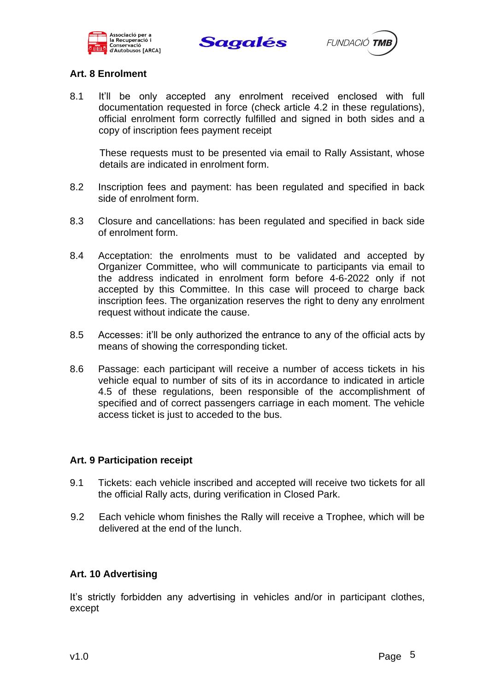





## **Art. 8 Enrolment**

8.1 It'll be only accepted any enrolment received enclosed with full documentation requested in force (check article 4.2 in these regulations), official enrolment form correctly fulfilled and signed in both sides and a copy of inscription fees payment receipt

These requests must to be presented via email to Rally Assistant, whose details are indicated in enrolment form.

- 8.2 Inscription fees and payment: has been regulated and specified in back side of enrolment form.
- 8.3 Closure and cancellations: has been regulated and specified in back side of enrolment form.
- 8.4 Acceptation: the enrolments must to be validated and accepted by Organizer Committee, who will communicate to participants via email to the address indicated in enrolment form before 4-6-2022 only if not accepted by this Committee. In this case will proceed to charge back inscription fees. The organization reserves the right to deny any enrolment request without indicate the cause.
- 8.5 Accesses: it'll be only authorized the entrance to any of the official acts by means of showing the corresponding ticket.
- 8.6 Passage: each participant will receive a number of access tickets in his vehicle equal to number of sits of its in accordance to indicated in article 4.5 of these regulations, been responsible of the accomplishment of specified and of correct passengers carriage in each moment. The vehicle access ticket is just to acceded to the bus.

#### **Art. 9 Participation receipt**

- 9.1 Tickets: each vehicle inscribed and accepted will receive two tickets for all the official Rally acts, during verification in Closed Park.
- 9.2 Each vehicle whom finishes the Rally will receive a Trophee, which will be delivered at the end of the lunch.

#### **Art. 10 Advertising**

It's strictly forbidden any advertising in vehicles and/or in participant clothes, except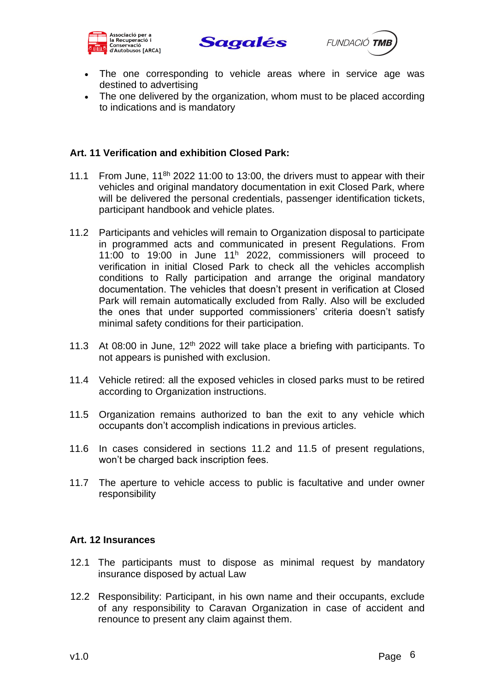





- The one corresponding to vehicle areas where in service age was destined to advertising
- The one delivered by the organization, whom must to be placed according to indications and is mandatory

#### **Art. 11 Verification and exhibition Closed Park:**

- 11.1 From June,  $11^{8h}$  2022 11:00 to 13:00, the drivers must to appear with their vehicles and original mandatory documentation in exit Closed Park, where will be delivered the personal credentials, passenger identification tickets, participant handbook and vehicle plates.
- 11.2 Participants and vehicles will remain to Organization disposal to participate in programmed acts and communicated in present Regulations. From 11:00 to 19:00 in June 11<sup>h</sup> 2022, commissioners will proceed to verification in initial Closed Park to check all the vehicles accomplish conditions to Rally participation and arrange the original mandatory documentation. The vehicles that doesn't present in verification at Closed Park will remain automatically excluded from Rally. Also will be excluded the ones that under supported commissioners' criteria doesn't satisfy minimal safety conditions for their participation.
- 11.3 At 08:00 in June,  $12<sup>th</sup>$  2022 will take place a briefing with participants. To not appears is punished with exclusion.
- 11.4 Vehicle retired: all the exposed vehicles in closed parks must to be retired according to Organization instructions.
- 11.5 Organization remains authorized to ban the exit to any vehicle which occupants don't accomplish indications in previous articles.
- 11.6 In cases considered in sections 11.2 and 11.5 of present regulations, won't be charged back inscription fees.
- 11.7 The aperture to vehicle access to public is facultative and under owner responsibility

#### **Art. 12 Insurances**

- 12.1 The participants must to dispose as minimal request by mandatory insurance disposed by actual Law
- 12.2 Responsibility: Participant, in his own name and their occupants, exclude of any responsibility to Caravan Organization in case of accident and renounce to present any claim against them.